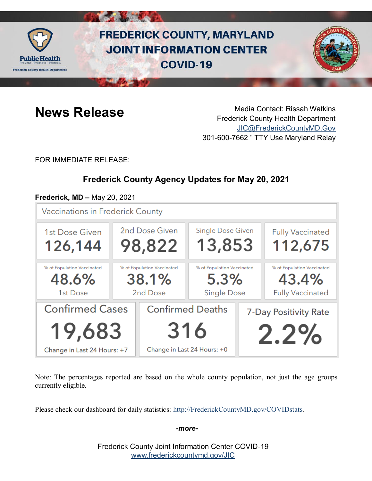

# **FREDERICK COUNTY, MARYLAND JOINT INFORMATION CENTER COVID-19**



**News Release** Media Contact: Rissah Watkins Frederick County Health Department [JIC@FrederickCountyMD.Gov](mailto:JIC@FrederickCountyMD.Gov) 301-600-7662 • TTY Use Maryland Relay

FOR IMMEDIATE RELEASE:

# **Frederick County Agency Updates for May 20, 2021**

#### **Frederick, MD –** May 20, 2021

Vaccinations in Frederick County



Note: The percentages reported are based on the whole county population, not just the age groups currently eligible.

Please check our dashboard for daily statistics: [http://FrederickCountyMD.gov/COVIDstats.](http://frederickcountymd.gov/COVIDstats)

#### *-more-*

Frederick County Joint Information Center COVID-19 [www.frederickcountymd.gov/JIC](https://frederickcountymd.gov/JIC)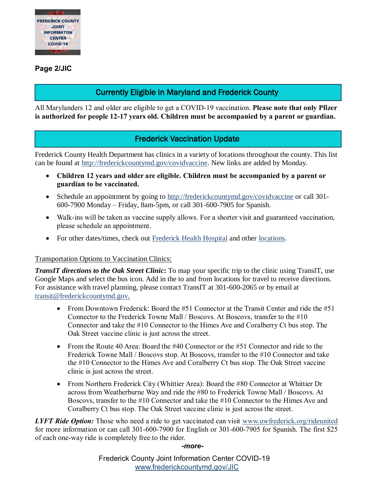

**Page 2/JIC**

# Currently Eligible in Maryland and Frederick County

All Marylanders 12 and older are eligible to get a COVID-19 vaccination. **Please note that only Pfizer is authorized for people 12-17 years old. Children must be accompanied by a parent or guardian.**

# Frederick Vaccination Update

Frederick County Health Department has clinics in a variety of locations throughout the county. This list can be found at [http://frederickcountymd.gov/covidvaccine.](https://t.co/Kpu8oYothe?amp=1) New links are added by Monday.

- **Children 12 years and older are eligible. Children must be accompanied by a parent or guardian to be vaccinated.**
- Schedule an appointment by going to [http://frederickcountymd.gov/covidvaccine](https://t.co/Kpu8oYothe?amp=1) or call 301-600-7900 Monday – Friday, 8am-5pm, or call 301-600-7905 for Spanish.
- Walk-ins will be taken as vaccine supply allows. For a shorter visit and guaranteed vaccination, please schedule an appointment.
- For other dates/times, check out [Frederick Health Hospital](https://www.frederickhealth.org/patients-visitors/coronavirus-covid-19-/schedule-your-covid-19-vaccine/) and other [locations.](https://www.marylandvax.org/appointment/en/clinic/search)

#### Transportation Options to Vaccination Clinics:

*TransIT directions to the Oak Street Clinic***:** To map your specific trip to the clinic using TransIT, use Google Maps and select the bus icon. Add in the to and from locations for travel to receive directions. For assistance with travel planning, please contact TransIT at 301-600-2065 or by email at [transit@frederickcountymd.gov.](mailto:transit@frederickcountymd.gov)

- From Downtown Frederick: Board the  $#51$  Connector at the Transit Center and ride the  $#51$ Connector to the Frederick Towne Mall / Boscovs. At Boscovs, transfer to the #10 Connector and take the #10 Connector to the Himes Ave and Coralberry Ct bus stop. The Oak Street vaccine clinic is just across the street.
- From the Route 40 Area: Board the #40 Connector or the #51 Connector and ride to the Frederick Towne Mall / Boscovs stop. At Boscovs, transfer to the #10 Connector and take the #10 Connector to the Himes Ave and Coralberry Ct bus stop. The Oak Street vaccine clinic is just across the street.
- From Northern Frederick City (Whittier Area): Board the #80 Connector at Whittier Dr across from Weatherburne Way and ride the #80 to Frederick Towne Mall / Boscovs. At Boscovs, transfer to the #10 Connector and take the #10 Connector to the Himes Ave and Coralberry Ct bus stop. The Oak Street vaccine clinic is just across the street.

*LYFT Ride Option:* Those who need a ride to get vaccinated can visit [www.uwfrederick.org/rideunited](http://www.uwfrederick.org/rideunited) for more information or can call 301-600-7900 for English or 301-600-7905 for Spanish. The first \$25 of each one-way ride is completely free to the rider.

*-more-*

Frederick County Joint Information Center COVID-19 [www.frederickcountymd.gov/JIC](https://frederickcountymd.gov/JIC)